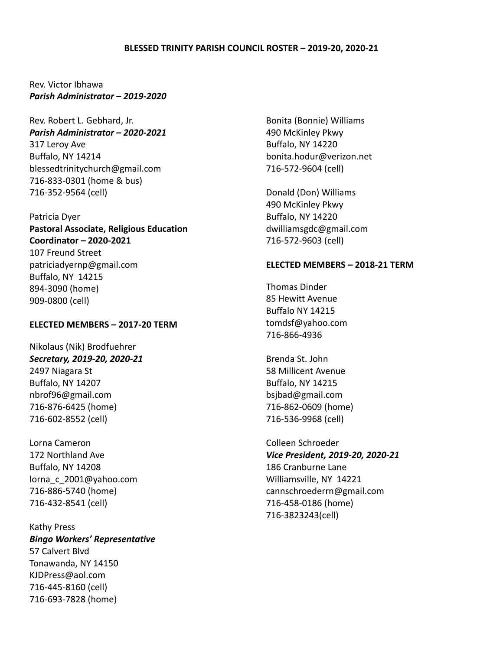## **BLESSED TRINITY PARISH COUNCIL ROSTER – 2019-20, 2020-21**

Rev. Victor Ibhawa *Parish Administrator – 2019-2020*

Rev. Robert L. Gebhard, Jr. *Parish Administrator – 2020-2021* 317 Leroy Ave Buffalo, NY 14214 blessedtrinitychurch@gmail.com 716-833-0301 (home & bus) 716-352-9564 (cell)

### Patricia Dyer

**Pastoral Associate, Religious Education Coordinator – 2020-2021** 107 Freund Street patriciadyernp@gmail.com Buffalo, NY 14215 894-3090 (home) 909-0800 (cell)

## **ELECTED MEMBERS – 2017-20 TERM**

Nikolaus (Nik) Brodfuehrer *Secretary, 2019-20, 2020-21* 2497 Niagara St Buffalo, NY 14207 nbrof96@gmail.com 716-876-6425 (home) 716-602-8552 (cell)

Lorna Cameron 172 Northland Ave Buffalo, NY 14208 lorna\_c\_2001@yahoo.com 716-886-5740 (home) 716-432-8541 (cell)

Kathy Press *Bingo Workers' Representative* 57 Calvert Blvd Tonawanda, NY 14150 KJDPress@aol.com 716-445-8160 (cell) 716-693-7828 (home)

Bonita (Bonnie) Williams 490 McKinley Pkwy Buffalo, NY 14220 bonita.hodur@verizon.net 716-572-9604 (cell)

Donald (Don) Williams 490 McKinley Pkwy Buffalo, NY 14220 dwilliamsgdc@gmail.com 716-572-9603 (cell)

#### **ELECTED MEMBERS – 2018-21 TERM**

Thomas Dinder 85 Hewitt Avenue Buffalo NY 14215 tomdsf@yahoo.com 716-866-4936

Brenda St. John 58 Millicent Avenue Buffalo, NY 14215 bsjbad@gmail.com 716-862-0609 (home) 716-536-9968 (cell)

Colleen Schroeder *Vice President, 2019-20, 2020-21* 186 Cranburne Lane Williamsville, NY 14221 cannschroederrn@gmail.com 716-458-0186 (home) 716-3823243(cell)